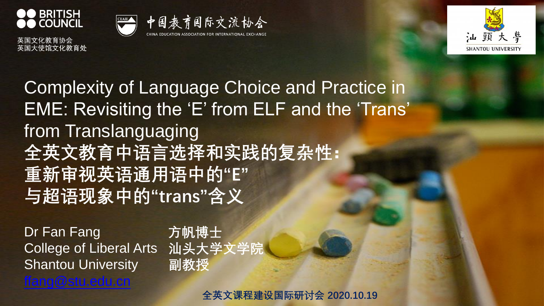

英国文化教育协会 英国大使馆文化教育处





Complexity of Language Choice and Practice in EME: Revisiting the 'E' from ELF and the 'Trans' from Translanguaging **全英文教育中语言选择和实践的复杂性: 重新审视英语通用语中的"E" 与超语现象中的"trans"含义**

Dr Fan Fang **方帆博士** College of Liberal Arts **汕头大学文学院** Shantou University **副教授** [ffang@stu.edu.cn](mailto:ffang@stu.edu.cn)

**全英文课程建设国际研讨会 2020.10.19**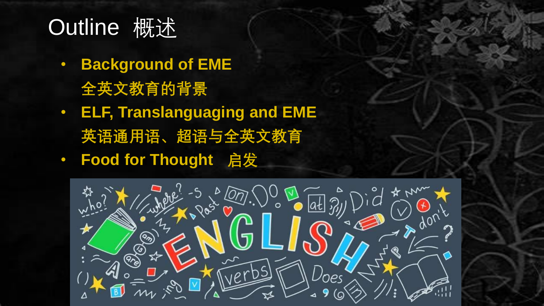# Outline 概述

- **Background of EME 全英文教育的背景**
- **ELF, Translanguaging and EME 英语通用语、超语与全英文教育**
- **Food for Thought 启发**

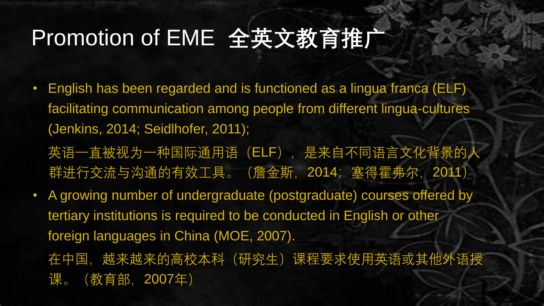# Promotion of EME **全英文教育推广**

- English has been regarded and is functioned as a lingua franca (ELF) facilitating communication among people from different lingua-cultures (Jenkins, 2014; Seidlhofer, 2011);
	- 英语一直被视为一种国际通用语(ELF), 是来自不同语言文化背景的人 群进行交流与沟通的有效工具。(詹金斯,2014;塞得霍弗尔,2011)
- A growing number of undergraduate (postgraduate) courses offered by tertiary institutions is required to be conducted in English or other foreign languages in China (MOE, 2007). 在中国,越来越来的高校本科(研究生)课程要求使用英语或其他外语授
	- 课。(教育部,2007年)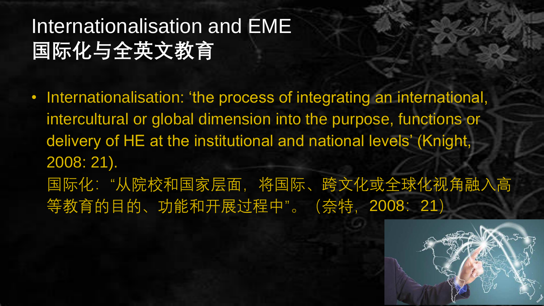#### Internationalisation and EME **国际化与全英文教育**

• Internationalisation: 'the process of integrating an international, intercultural or global dimension into the purpose, functions or delivery of HE at the institutional and national levels' (Knight, 2008: 21). 国际化:"从院校和国家层面,将国际、跨文化或全球化视角融入高 等教育的目的、功能和开展过程中"。(奈特, 2008: 21)

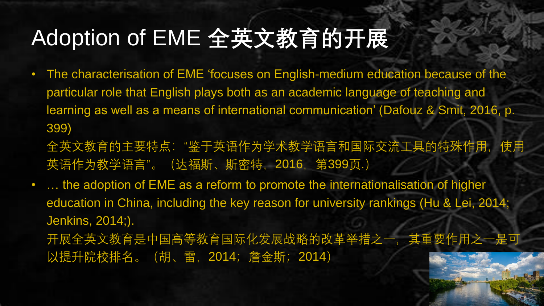# Adoption of EME **全英文教育的开展**

- The characterisation of EME 'focuses on English-medium education because of the particular role that English plays both as an academic language of teaching and learning as well as a means of international communication' (Dafouz & Smit, 2016, p. 399)
	- 全英文教育的主要特点:"鉴于英语作为学术教学语言和国际交流工具的特殊作用,使用 英语作为教学语言"。(达福斯、斯密特, 2016, 第399页.)
- ... the adoption of EME as a reform to promote the internationalisation of higher education in China, including the key reason for university rankings (Hu & Lei, 2014; Jenkins, 2014;).
	- 开展全英文教育是中国高等教育国际化发展战略的改革举措之一,其重要作用之一是可 以提升院校排名。(胡、雷,2014;詹金斯;2014)

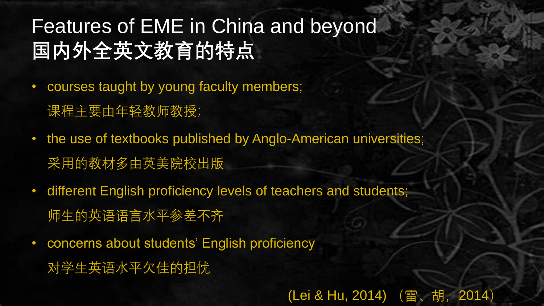#### Features of EME in China and beyond **国内外全英文教育的特点**

- courses taught by young faculty members; 课程主要由年轻教师教授;
- the use of textbooks published by Anglo-American universities; 采用的教材多由英美院校出版
- different English proficiency levels of teachers and students; 师生的英语语言水平参差不齐
- concerns about students' English proficiency 对学生英语水平欠佳的担忧

(Lei & Hu, 2014) (雷、胡,2014)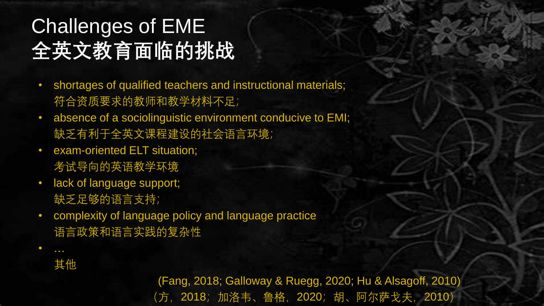## Challenges of EME **全英文教育面临的挑战**

- shortages of qualified teachers and instructional materials; 符合资质要求的教师和教学材料不足;
- absence of a sociolinguistic environment conducive to EMI; 缺乏有利于全英文课程建设的社会语言环境;
- exam-oriented ELT situation; 考试导向的英语教学环境
- lack of language support; 缺乏足够的语言支持;
- complexity of language policy and language practice 语言政策和语言实践的复杂性

其他

• …

(Fang, 2018; Galloway & Ruegg, 2020; Hu & Alsagoff, 2010) (方, 2018; 加洛韦、鲁格, 2020; 胡、阿尔萨戈夫, 2010)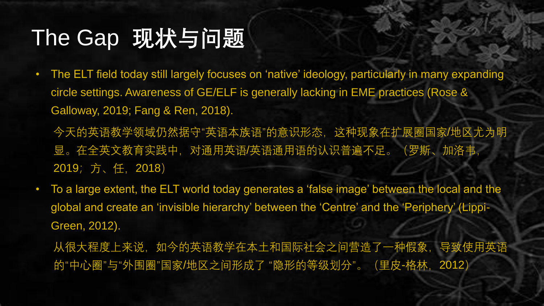# The Gap **现状与问题**

• The ELT field today still largely focuses on 'native' ideology, particularly in many expanding circle settings. Awareness of GE/ELF is generally lacking in EME practices (Rose & Galloway, 2019; Fang & Ren, 2018).

今天的英语教学领域仍然据守"英语本族语"的意识形态,这种现象在扩展圈国家/地区尤为明 显。在全英文教育实践中,对通用英语/英语通用语的认识普遍不足。(罗斯、加洛韦, 2019;方、任,2018)

• To a large extent, the ELT world today generates a 'false image' between the local and the global and create an 'invisible hierarchy' between the 'Centre' and the 'Periphery' (Lippi-Green, 2012).

从很大程度上来说,如今的英语教学在本土和国际社会之间营造了一种假象,导致使用英语 的"中心圈"与"外围圈"国家/地区之间形成了 "隐形的等级划分"。 (里皮-格林, 2012)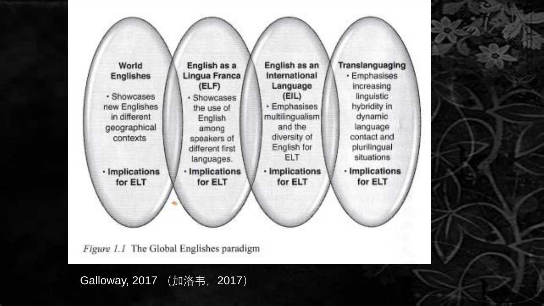

Figure 1.1 The Global Englishes paradigm

Galloway, 2017 (加洛韦, 2017)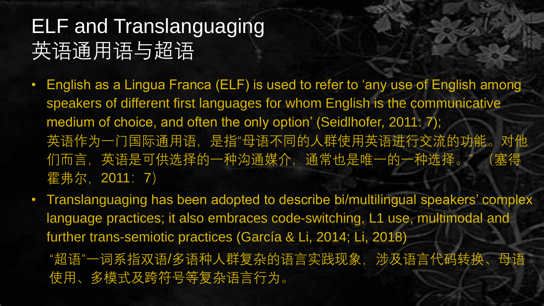#### ELF and Translanguaging 英语通用语与超语

- English as a Lingua Franca (ELF) is used to refer to 'any use of English among speakers of different first languages for whom English is the communicative medium of choice, and often the only option' (Seidlhofer, 2011: 7); 英语作为一门国际通用语,是指"母语不同的人群使用英语进行交流的功能。对他 们而言,英语是可供选择的一种沟通媒介,通常也是唯一的一种选择。" (塞得 霍弗尔, 2011: 7)
- Translanguaging has been adopted to describe bi/multilingual speakers' complex language practices; it also embraces code-switching, L1 use, multimodal and further trans-semiotic practices (García & Li, 2014; Li, 2018)
	- "超语"一词系指双语/多语种人群复杂的语言实践现象,涉及语言代码转换、母语 使用、多模式及跨符号等复杂语言行为。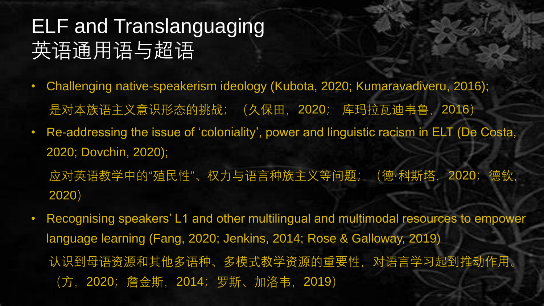#### ELF and Translanguaging 英语通用语与超语

- Challenging native-speakerism ideology (Kubota, 2020; Kumaravadiveru, 2016); 是对本族语主义意识形态的挑战; (久保田, 2020; 库玛拉瓦迪韦鲁, 2016)
- Re-addressing the issue of 'coloniality', power and linguistic racism in ELT (De Costa, 2020; Dovchin, 2020);

应对英语教学中的"殖民性"、权力与语言种族主义等问题; (德·科斯塔, 2020; 德钦, 2020)

• Recognising speakers' L1 and other multilingual and multimodal resources to empower language learning (Fang, 2020; Jenkins, 2014; Rose & Galloway, 2019) 认识到母语资源和其他多语种、多模式教学资源的重要性,对语言学习起到推动作用。 (方,2020;詹金斯,2014;罗斯、加洛韦,2019)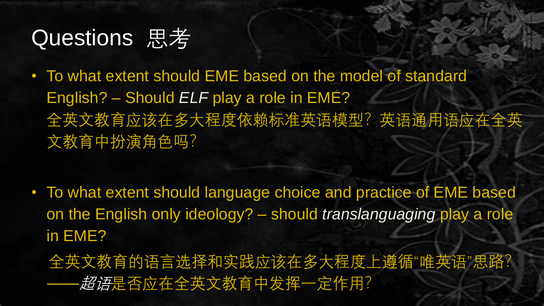## Questions 思考

• To what extent should EME based on the model of standard English? – Should *ELF* play a role in EME? 全英文教育应该在多大程度依赖标准英语模型?英语通用语应在全英 文教育中扮演角色吗?

- To what extent should language choice and practice of EME based on the English only ideology? – should *translanguaging* play a role in EME?
	- 全英文教育的语言选择和实践应该在多大程度上遵循"唯英语"思路? -*超语*是否应在全英文教育中发挥一定作用?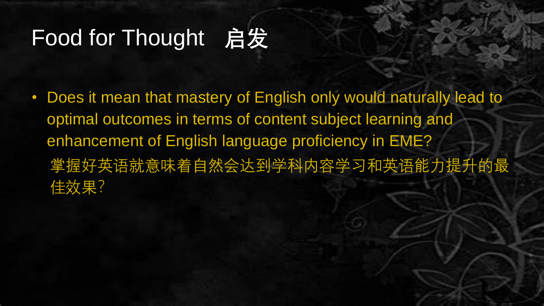# Food for Thought **启发**

• Does it mean that mastery of English only would naturally lead to optimal outcomes in terms of content subject learning and enhancement of English language proficiency in EME? 掌握好英语就意味着自然会达到学科内容学习和英语能力提升的最 佳效果?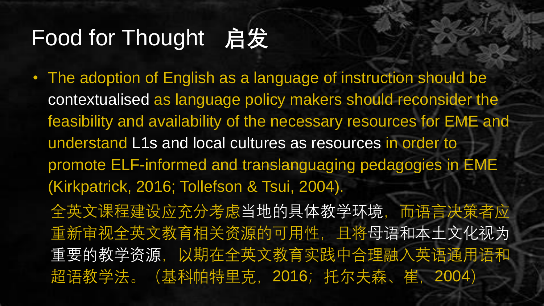## Food for Thought **启发**

- The adoption of English as a language of instruction should be contextualised as language policy makers should reconsider the feasibility and availability of the necessary resources for EME and understand L1s and local cultures as resources in order to promote ELF-informed and translanguaging pedagogies in EME (Kirkpatrick, 2016; Tollefson & Tsui, 2004).
	- 全英文课程建设应充分考虑当地的具体教学环境,而语言决策者应 重新审视全英文教育相关资源的可用性,且将母语和本土文化视为 重要的教学资源,以期在全英文教育实践中合理融入英语通用语和 超语教学法。(基科帕特里克,2016;托尔夫森、崔,2004)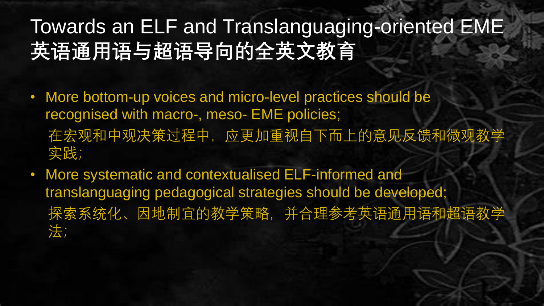## Towards an ELF and Translanguaging-oriented EME **英语通用语与超语导向的全英文教育**

- More bottom-up voices and micro-level practices should be recognised with macro-, meso- EME policies; 在宏观和中观决策过程中,应更加重视自下而上的意见反馈和微观教学 实践;
- More systematic and contextualised ELF-informed and translanguaging pedagogical strategies should be developed; 探索系统化、因地制宜的教学策略,并合理参考英语通用语和超语教学 法;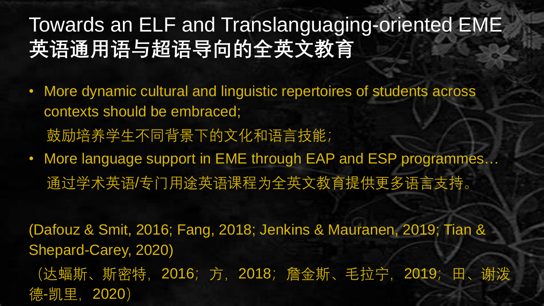## Towards an ELF and Translanguaging-oriented EME **英语通用语与超语导向的全英文教育**

- More dynamic cultural and linguistic repertoires of students across contexts should be embraced; 鼓励培养学生不同背景下的文化和语言技能;
- More language support in EME through EAP and ESP programmes... 通过学术英语/专门用途英语课程为全英文教育提供更多语言支持。

(Dafouz & Smit, 2016; Fang, 2018; Jenkins & Mauranen, 2019; Tian & Shepard-Carey, 2020)

(达蝠斯、斯密特,2016;方,2018;詹金斯、毛拉宁,2019;田、谢泼 德-凯里, 2020)